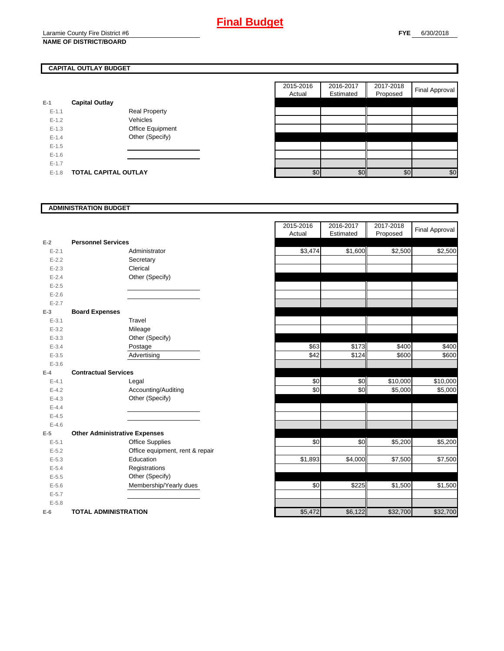# **CAPITAL OUTLAY BUDGET**

| $E-1$   | <b>Capital Outlay</b>       |                         |
|---------|-----------------------------|-------------------------|
| $F-11$  |                             | <b>Real Property</b>    |
| $F-12$  |                             | Vehicles                |
| $F-1.3$ |                             | <b>Office Equipment</b> |
| $F-14$  |                             | Other (Specify)         |
| $F-1.5$ |                             |                         |
| $F-16$  |                             |                         |
| $F-17$  |                             |                         |
| $F-1.8$ | <b>TOTAL CAPITAL OUTLAY</b> |                         |

| 2015-2016<br>Actual | 2016-2017<br>Estimated | 2017-2018<br>Proposed | <b>Final Approval</b> |
|---------------------|------------------------|-----------------------|-----------------------|
|                     |                        |                       |                       |
|                     |                        |                       |                       |
|                     |                        |                       |                       |
|                     |                        |                       |                       |
|                     |                        |                       |                       |
|                     |                        |                       |                       |
|                     |                        |                       |                       |
|                     |                        |                       |                       |
| \$ር                 | ¢٬                     | \$0                   | ፍበ                    |

#### **ADMINISTRATION BUDGET**

| $E-2$     | <b>Personnel Services</b>            |                                 |
|-----------|--------------------------------------|---------------------------------|
| $E - 2.1$ |                                      | Administrator                   |
| $E - 2.2$ |                                      | Secretary                       |
| $E - 2.3$ |                                      | Clerical                        |
| $E - 2.4$ |                                      | Other (Specify)                 |
| $E - 2.5$ |                                      |                                 |
| $E - 2.6$ |                                      |                                 |
| $E - 2.7$ |                                      |                                 |
| E-3       | <b>Board Expenses</b>                |                                 |
| $E - 3.1$ |                                      | Travel                          |
| $E - 3.2$ |                                      | Mileage                         |
| $E - 3.3$ |                                      | Other (Specify)                 |
| $E - 3.4$ |                                      | Postage                         |
| $E - 3.5$ |                                      | Advertising                     |
| $E - 3.6$ |                                      |                                 |
| F-4       | <b>Contractual Services</b>          |                                 |
| $E - 4.1$ |                                      | Legal                           |
| $E-4.2$   |                                      | Accounting/Auditing             |
| $E - 4.3$ |                                      | Other (Specify)                 |
| $E-4.4$   |                                      |                                 |
| $E - 4.5$ |                                      |                                 |
| $E - 4.6$ |                                      |                                 |
| E-5       | <b>Other Administrative Expenses</b> |                                 |
| $E - 5.1$ |                                      | <b>Office Supplies</b>          |
| $E - 5.2$ |                                      | Office equipment, rent & repair |
| $E - 5.3$ |                                      | Education                       |
| $E - 5.4$ |                                      | Registrations                   |
| $E - 5.5$ |                                      | Other (Specify)                 |
| $E - 5.6$ |                                      | Membership/Yearly dues          |
| $E - 5.7$ |                                      |                                 |
| $E - 5.8$ |                                      |                                 |
| $E-6$     | <b>TOTAL ADMINISTRATION</b>          |                                 |

|           |                                      | 2015-2016<br>Actual | 2016-2017<br>Estimated | 2017-2018<br>Proposed | <b>Final Approval</b> |
|-----------|--------------------------------------|---------------------|------------------------|-----------------------|-----------------------|
| Ż         | <b>Personnel Services</b>            |                     |                        |                       |                       |
| $E - 2.1$ | Administrator                        | \$3,474             | \$1,600                | \$2,500               | \$2,500               |
| $E - 2.2$ | Secretary                            |                     |                        |                       |                       |
| $E - 2.3$ | Clerical                             |                     |                        |                       |                       |
| $E - 2.4$ | Other (Specify)                      |                     |                        |                       |                       |
| $E - 2.5$ |                                      |                     |                        |                       |                       |
| $E - 2.6$ |                                      |                     |                        |                       |                       |
| $E - 2.7$ |                                      |                     |                        |                       |                       |
| š.        | <b>Board Expenses</b>                |                     |                        |                       |                       |
| $E - 3.1$ | Travel                               |                     |                        |                       |                       |
| $E - 3.2$ | Mileage                              |                     |                        |                       |                       |
| $E - 3.3$ | Other (Specify)                      |                     |                        |                       |                       |
| $E - 3.4$ | Postage                              | \$63                | \$173                  | \$400                 | \$400                 |
| $E - 3.5$ | Advertising                          | \$42                | \$124                  | \$600                 | \$600                 |
| $E - 3.6$ |                                      |                     |                        |                       |                       |
| ı.        | <b>Contractual Services</b>          |                     |                        |                       |                       |
| $E - 4.1$ | Legal                                | \$0                 | \$0                    | \$10,000              | \$10,000              |
| $E - 4.2$ | Accounting/Auditing                  | \$0                 | \$0                    | \$5,000               | \$5,000               |
| $E - 4.3$ | Other (Specify)                      |                     |                        |                       |                       |
| $E - 4.4$ |                                      |                     |                        |                       |                       |
| $E - 4.5$ |                                      |                     |                        |                       |                       |
| $E - 4.6$ |                                      |                     |                        |                       |                       |
| 5         | <b>Other Administrative Expenses</b> |                     |                        |                       |                       |
| $E - 5.1$ | <b>Office Supplies</b>               | \$0                 | \$0                    | \$5,200               | \$5,200               |
| $E - 5.2$ | Office equipment, rent & repair      |                     |                        |                       |                       |
| $E - 5.3$ | Education                            | \$1,893             | \$4,000                | \$7,500               | \$7,500               |
| $E - 5.4$ | Registrations                        |                     |                        |                       |                       |
| $E - 5.5$ | Other (Specify)                      |                     |                        |                       |                       |
| $E - 5.6$ | Membership/Yearly dues               | \$0                 | \$225                  | \$1,500               | \$1,500               |
| $E - 5.7$ |                                      |                     |                        |                       |                       |
| $E - 5.8$ |                                      |                     |                        |                       |                       |
| ì         | <b>TOTAL ADMINISTRATION</b>          | \$5,472             | \$6,122                | \$32,700              | \$32,700              |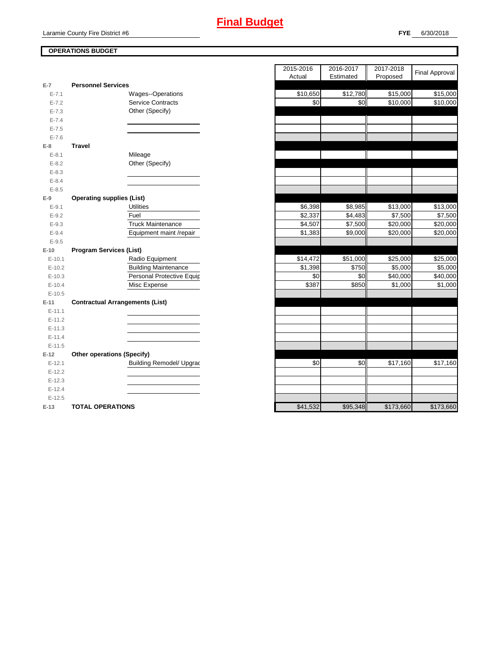

## **OPERATIONS BUDGET**

| $E-7$      | <b>Personnel Services</b>              |  |
|------------|----------------------------------------|--|
| $E - 7.1$  | Wages--Operations                      |  |
| $E - 7.2$  | <b>Service Contracts</b>               |  |
| $E - 7.3$  | Other (Specify)                        |  |
| $E - 7.4$  |                                        |  |
| $E - 7.5$  |                                        |  |
| $E - 7.6$  |                                        |  |
| E-8        | Travel                                 |  |
| $E-8.1$    | Mileage                                |  |
| $E-8.2$    | Other (Specify)                        |  |
| $E - 8.3$  |                                        |  |
| $E - 8.4$  |                                        |  |
| $E - 8.5$  |                                        |  |
| $E-9$      | <b>Operating supplies (List)</b>       |  |
| $E-9.1$    | <b>Utilities</b>                       |  |
| $E-9.2$    | Fuel                                   |  |
| $E-9.3$    | <b>Truck Maintenance</b>               |  |
| $E-9.4$    | Equipment maint /repair                |  |
| $E-9.5$    |                                        |  |
| $E-10$     | <b>Program Services (List)</b>         |  |
| $E-10.1$   | Radio Equipment                        |  |
| $E-10.2$   | <b>Building Maintenance</b>            |  |
| $E-10.3$   | Personal Protective Equip              |  |
| $E-10.4$   | Misc Expense                           |  |
| $E-10.5$   |                                        |  |
| $E-11$     | <b>Contractual Arrangements (List)</b> |  |
| $E - 11.1$ |                                        |  |
| $E-11.2$   |                                        |  |
| $E-11.3$   |                                        |  |
| $E-11.4$   |                                        |  |
| $E - 11.5$ |                                        |  |
| $E-12$     | <b>Other operations (Specify)</b>      |  |
| $E-12.1$   | <b>Building Remodel/ Upgrad</b>        |  |
| $E-12.2$   |                                        |  |
| $E-12.3$   |                                        |  |
| $E-12.4$   |                                        |  |
| $E-12.5$   |                                        |  |
| $E-13$     | <b>TOTAL OPERATIONS</b>                |  |

|           |                                        | 2015-2016<br>Actual | 2016-2017<br>Estimated | 2017-2018<br>Proposed | <b>Final Approval</b> |
|-----------|----------------------------------------|---------------------|------------------------|-----------------------|-----------------------|
| 7         | <b>Personnel Services</b>              |                     |                        |                       |                       |
| $E - 7.1$ | Wages--Operations                      | \$10,650            | \$12,780               | \$15,000              | \$15,000              |
| $E - 7.2$ | <b>Service Contracts</b>               | \$0                 | \$0                    | \$10,000              | \$10,000              |
| $E - 7.3$ | Other (Specify)                        |                     |                        |                       |                       |
| $E - 7.4$ |                                        |                     |                        |                       |                       |
| $E - 7.5$ |                                        |                     |                        |                       |                       |
| $E - 7.6$ |                                        |                     |                        |                       |                       |
| 8         | <b>Travel</b>                          |                     |                        |                       |                       |
| $E-8.1$   | Mileage                                |                     |                        |                       |                       |
| $E-8.2$   | Other (Specify)                        |                     |                        |                       |                       |
| $E-8.3$   |                                        |                     |                        |                       |                       |
| $E-8.4$   |                                        |                     |                        |                       |                       |
| $E-8.5$   |                                        |                     |                        |                       |                       |
| 9         | <b>Operating supplies (List)</b>       |                     |                        |                       |                       |
| $E-9.1$   | <b>Utilities</b>                       | \$6,398             | \$8,985                | \$13,000              | \$13,000              |
| $E-9.2$   | Fuel                                   | \$2,337             | \$4,483                | \$7,500               | \$7,500               |
| $E-9.3$   | <b>Truck Maintenance</b>               | \$4,507             | \$7,500                | \$20,000              | \$20,000              |
| $E-9.4$   | Equipment maint /repair                | \$1,383             | \$9,000                | \$20,000              | \$20,000              |
| $E-9.5$   |                                        |                     |                        |                       |                       |
| 10        | <b>Program Services (List)</b>         |                     |                        |                       |                       |
| $E-10.1$  | Radio Equipment                        | \$14,472            | \$51,000               | \$25,000              | \$25,000              |
| $E-10.2$  | <b>Building Maintenance</b>            | \$1,398             | \$750                  | \$5,000               | \$5,000               |
| $E-10.3$  | Personal Protective Equip              | \$0                 | \$0                    | \$40,000              | \$40,000              |
| $E-10.4$  | Misc Expense                           | \$387               | \$850                  | \$1,000               | \$1,000               |
| $E-10.5$  |                                        |                     |                        |                       |                       |
| 11        | <b>Contractual Arrangements (List)</b> |                     |                        |                       |                       |
| E-11.1    |                                        |                     |                        |                       |                       |
| $E-11.2$  |                                        |                     |                        |                       |                       |
| $E-11.3$  |                                        |                     |                        |                       |                       |
| $E-11.4$  |                                        |                     |                        |                       |                       |
| $E-11.5$  |                                        |                     |                        |                       |                       |
| 12        | <b>Other operations (Specify)</b>      |                     |                        |                       |                       |
| $E-12.1$  | <b>Building Remodel/ Upgrad</b>        | \$0                 | \$0                    | \$17,160              | \$17,160              |
| $E-12.2$  |                                        |                     |                        |                       |                       |
| $E-12.3$  |                                        |                     |                        |                       |                       |
| $E-12.4$  |                                        |                     |                        |                       |                       |
| $E-12.5$  |                                        |                     |                        |                       |                       |
| 13        | <b>TOTAL OPERATIONS</b>                | \$41,532            | \$95,348               | \$173,660             | \$173,660             |